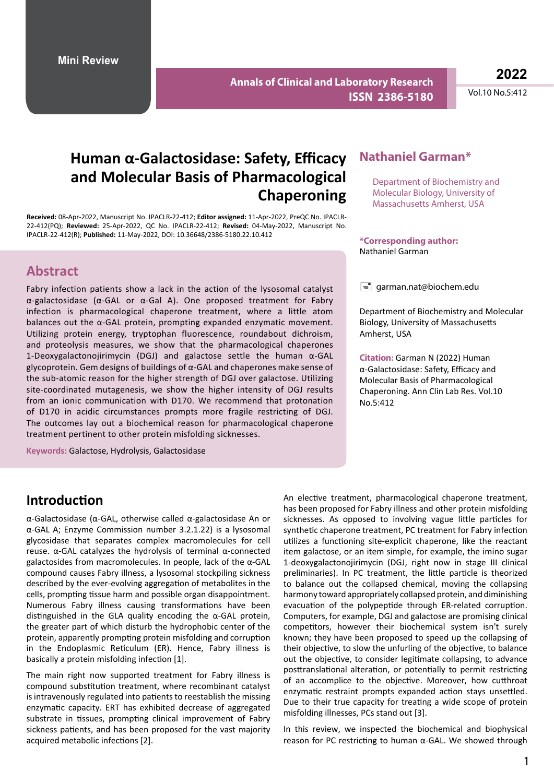**Annals of Clinical and Laboratory Research ISSN 2386-5180**

**2022**

Vol.10 No.5:412

# **Human α-Galactosidase: Safety, Efficacy and Molecular Basis of Pharmacological Chaperoning**

**Received:** 08-Apr-2022, Manuscript No. IPACLR-22-412; **Editor assigned:** 11-Apr-2022, PreQC No. IPACLR-22-412(PQ); **Reviewed:** 25-Apr-2022, QC No. IPACLR-22-412; **Revised:** 04-May-2022, Manuscript No. IPACLR-22-412(R); **Published:** 11-May-2022, DOI: 10.36648/2386-5180.22.10.412

## **Abstract**

Fabry infection patients show a lack in the action of the lysosomal catalyst α-galactosidase (α-GAL or α-Gal A). One proposed treatment for Fabry infection is pharmacological chaperone treatment, where a little atom balances out the α-GAL protein, prompting expanded enzymatic movement. Utilizing protein energy, tryptophan fluorescence, roundabout dichroism, and proteolysis measures, we show that the pharmacological chaperones 1-Deoxygalactonojirimycin (DGJ) and galactose settle the human α-GAL glycoprotein. Gem designs of buildings of α-GAL and chaperones make sense of the sub-atomic reason for the higher strength of DGJ over galactose. Utilizing site-coordinated mutagenesis, we show the higher intensity of DGJ results from an ionic communication with D170. We recommend that protonation of D170 in acidic circumstances prompts more fragile restricting of DGJ. The outcomes lay out a biochemical reason for pharmacological chaperone treatment pertinent to other protein misfolding sicknesses.

**Keywords:** Galactose, Hydrolysis, Galactosidase

#### **Nathaniel Garman\***

Department of Biochemistry and Molecular Biology, University of Massachusetts Amherst, USA

**\*Corresponding author:** Nathaniel Garman

 $\equiv$  garman.nat@biochem.edu

Department of Biochemistry and Molecular Biology, University of Massachusetts Amherst, USA

**Citation:** Garman N (2022) Human α-Galactosidase: Safety, Efficacy and Molecular Basis of Pharmacological Chaperoning. Ann Clin Lab Res. Vol.10 No.5:412

## **Introduction**

α-Galactosidase (α-GAL, otherwise called α-galactosidase An or α-GAL A; Enzyme Commission number 3.2.1.22) is a lysosomal glycosidase that separates complex macromolecules for cell reuse. α-GAL catalyzes the hydrolysis of terminal α-connected galactosides from macromolecules. In people, lack of the α-GAL compound causes Fabry illness, a lysosomal stockpiling sickness described by the ever-evolving aggregation of metabolites in the cells, prompting tissue harm and possible organ disappointment. Numerous Fabry illness causing transformations have been distinguished in the GLA quality encoding the  $\alpha$ -GAL protein, the greater part of which disturb the hydrophobic center of the protein, apparently prompting protein misfolding and corruption in the Endoplasmic Reticulum (ER). Hence, Fabry illness is basically a protein misfolding infection [1].

The main right now supported treatment for Fabry illness is compound substitution treatment, where recombinant catalyst is intravenously regulated into patients to reestablish the missing enzymatic capacity. ERT has exhibited decrease of aggregated substrate in tissues, prompting clinical improvement of Fabry sickness patients, and has been proposed for the vast majority acquired metabolic infections [2].

An elective treatment, pharmacological chaperone treatment, has been proposed for Fabry illness and other protein misfolding sicknesses. As opposed to involving vague little particles for synthetic chaperone treatment, PC treatment for Fabry infection utilizes a functioning site-explicit chaperone, like the reactant item galactose, or an item simple, for example, the imino sugar 1-deoxygalactonojirimycin (DGJ, right now in stage III clinical preliminaries). In PC treatment, the little particle is theorized to balance out the collapsed chemical, moving the collapsing harmony toward appropriately collapsed protein, and diminishing evacuation of the polypeptide through ER-related corruption. Computers, for example, DGJ and galactose are promising clinical competitors, however their biochemical system isn't surely known; they have been proposed to speed up the collapsing of their objective, to slow the unfurling of the objective, to balance out the objective, to consider legitimate collapsing, to advance posttranslational alteration, or potentially to permit restricting of an accomplice to the objective. Moreover, how cutthroat enzymatic restraint prompts expanded action stays unsettled. Due to their true capacity for treating a wide scope of protein misfolding illnesses, PCs stand out [3].

In this review, we inspected the biochemical and biophysical reason for PC restricting to human α-GAL. We showed through